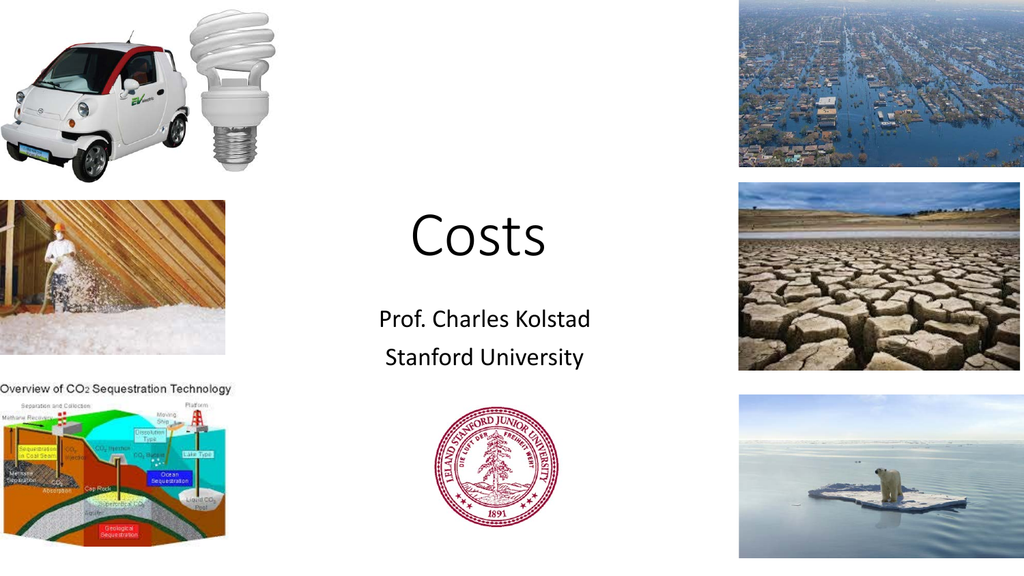



#### Overview of CO2 Sequestration Technology



# Costs

Prof. Charles Kolstad Stanford University







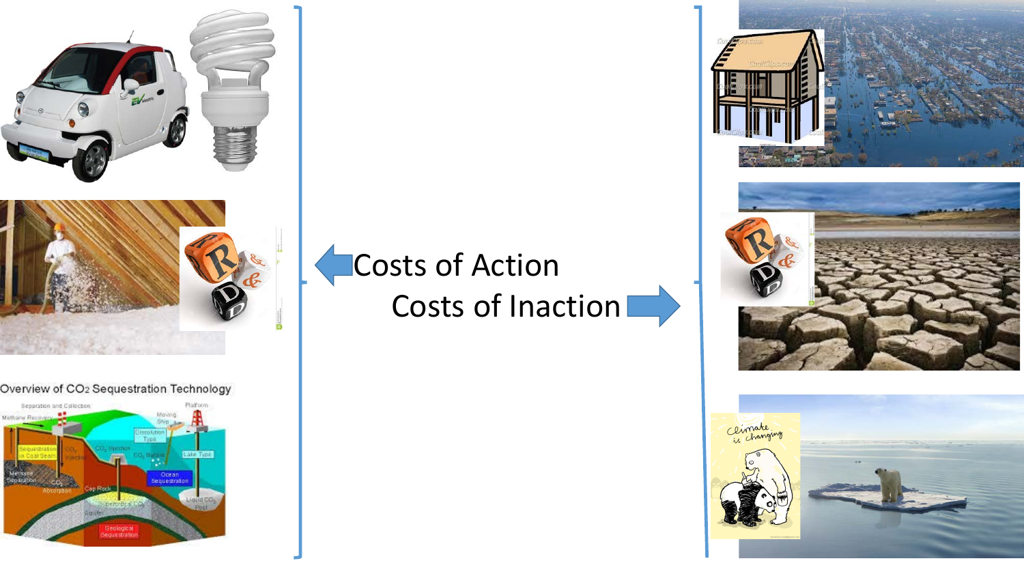



#### Overview of CO2 Sequestration Technology









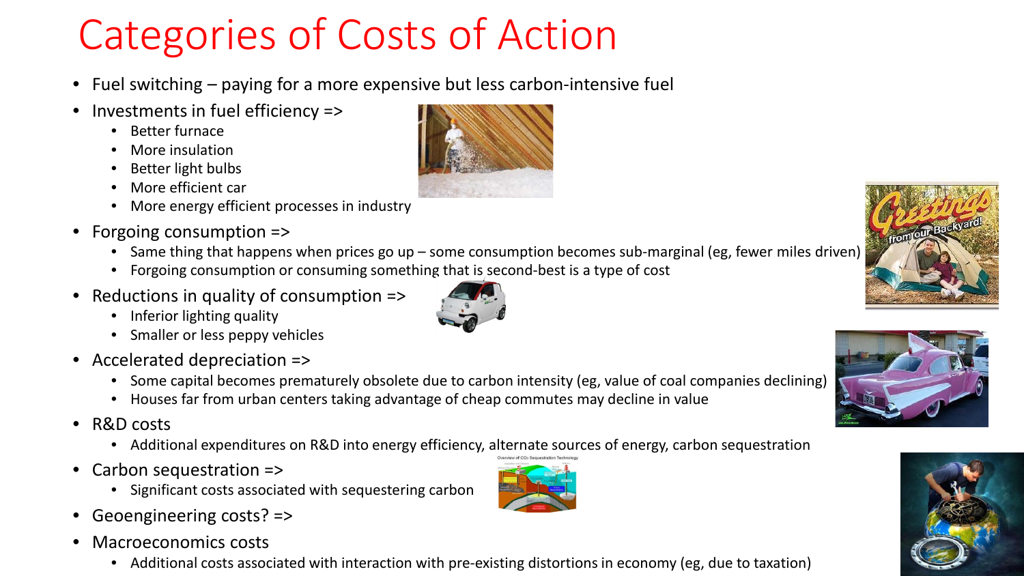## Categories of Costs of Action

- Fuel switching paying for a more expensive but less carbon-intensive fuel
- Investments in fuel efficiency =>
	- Better furnace
	- More insulation
	- Better light bulbs
	- More efficient car
	- More energy efficient processes in industry
- Forgoing consumption =>
	- Same thing that happens when prices go up some consumption becomes sub-marginal (eg, fewer miles driven)
	- Forgoing consumption or consuming something that is second-best is a type of cost
- Reductions in quality of consumption =>
	- Inferior lighting quality
	- Smaller or less peppy vehicles
- Accelerated depreciation =>
	- Some capital becomes prematurely obsolete due to carbon intensity (eg, value of coal companies declining)
	- Houses far from urban centers taking advantage of cheap commutes may decline in value
- R&D costs
	- Additional expenditures on R&D into energy efficiency, alternate sources of energy, carbon sequestration
- Carbon sequestration  $\Rightarrow$ 
	- Significant costs associated with sequestering carbon
- Geoengineering costs? =>
- Macroeconomics costs
	- Additional costs associated with interaction with pre-existing distortions in economy (eg, due to taxation)











![](_page_2_Picture_29.jpeg)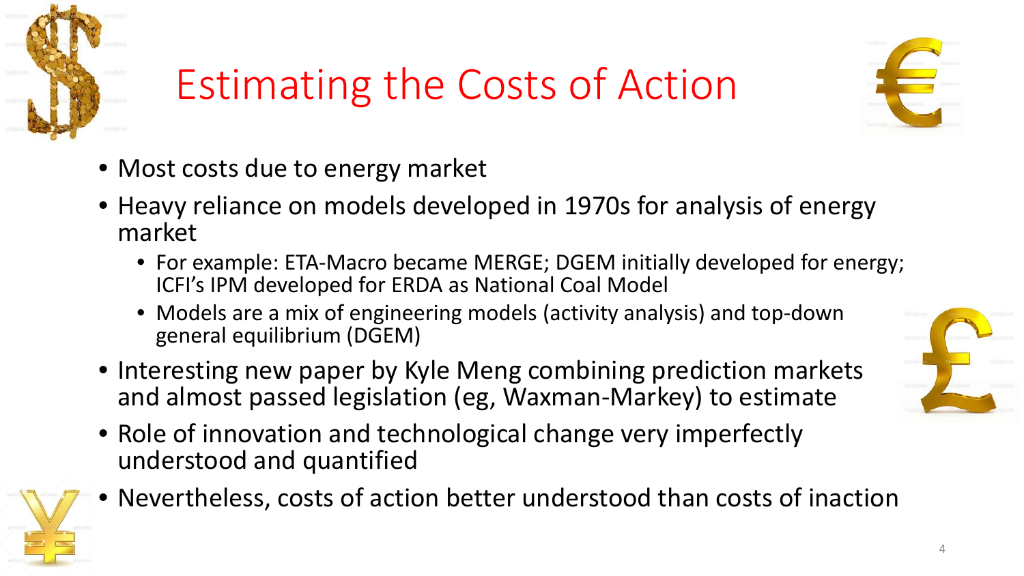![](_page_3_Picture_0.jpeg)

## Estimating the Costs of Action

![](_page_3_Picture_2.jpeg)

- Most costs due to energy market
- Heavy reliance on models developed in 1970s for analysis of energy market
	- For example: ETA-Macro became MERGE; DGEM initially developed for energy; ICFI's IPM developed for ERDA as National Coal Model
	- Models are a mix of engineering models (activity analysis) and top-down general equilibrium (DGEM)
- Interesting new paper by Kyle Meng combining prediction markets and almost passed legislation (eg, Waxman-Markey) to estimate
- Role of innovation and technological change very imperfectly understood and quantified
- Nevertheless, costs of action better understood than costs of inaction

![](_page_3_Picture_10.jpeg)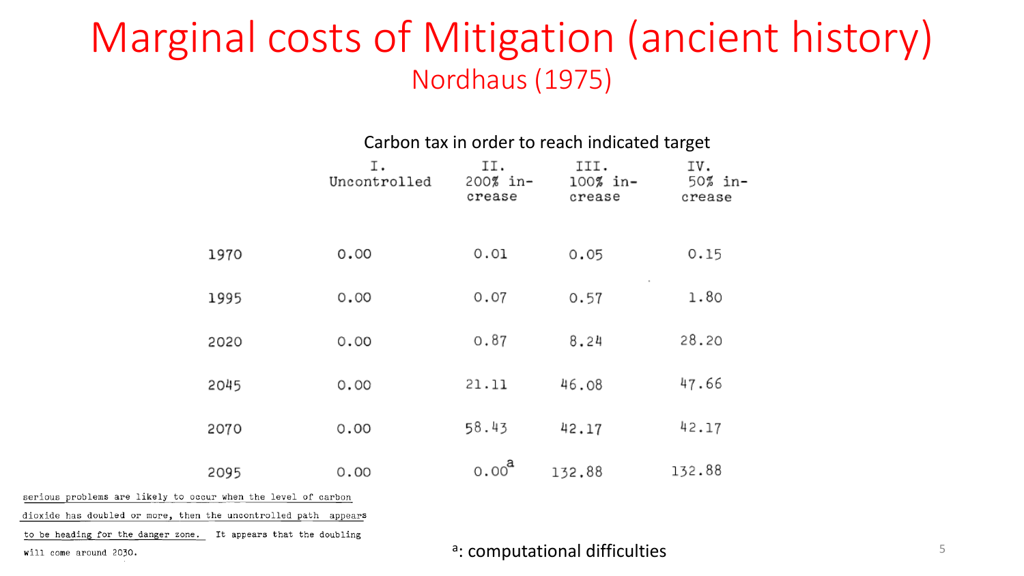#### Marginal costs of Mitigation (ancient history) Nordhaus (1975)

#### Carbon tax in order to reach indicated target

|                                | Ι.<br>Uncontrolled | II.<br>200% in-<br>crease | III.<br>100% in-<br>crease | IV.<br>50% in.<br>crease |
|--------------------------------|--------------------|---------------------------|----------------------------|--------------------------|
| 1970                           | 0.00               | 0.01                      | 0.05                       | 0.15                     |
| 1995                           | 0.00               | 0.07                      | 0.57                       | 1.80                     |
| 2020                           | 0.00               | 0.87                      | 8.24                       | 28.20                    |
| 2045                           | 0.00               | 21.11                     | 46.08                      | 47.66                    |
| 2070                           | 0.00               | 58.43                     | 42.17                      | 42.17                    |
| 2095                           | 0.00               | $0.00^{a}$                | 132.88                     | 132.88                   |
| assessed the fourth of section |                    |                           |                            |                          |

serious problems are likely to occur when the level of carbon

dioxide has doubled or more, then the uncontrolled path appears

to be heading for the danger zone. It appears that the doubling

will come around 2030.

a: computational difficulties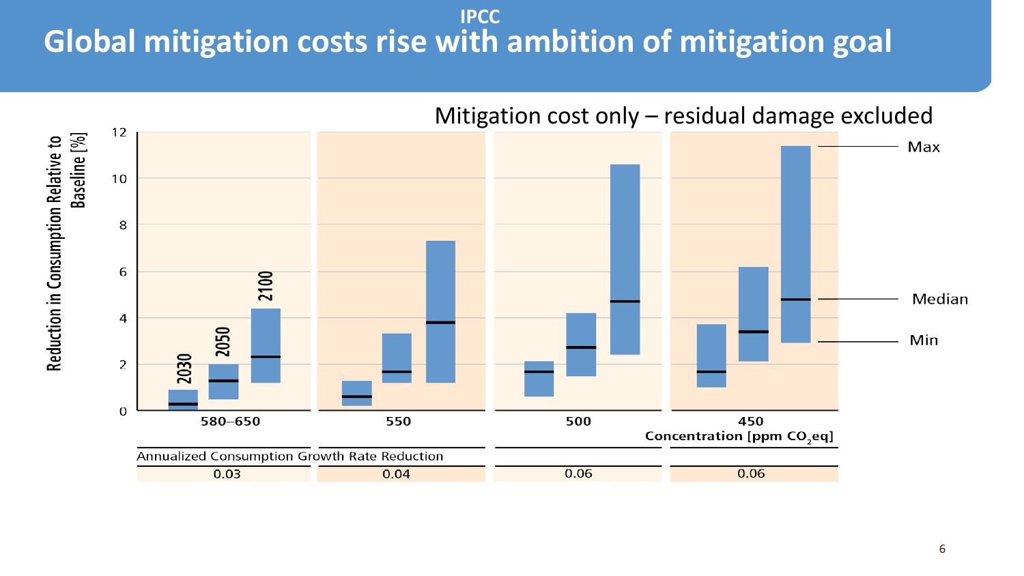#### **Global mitigation costs rise with ambition of mitigation goal IPCC**

![](_page_5_Figure_1.jpeg)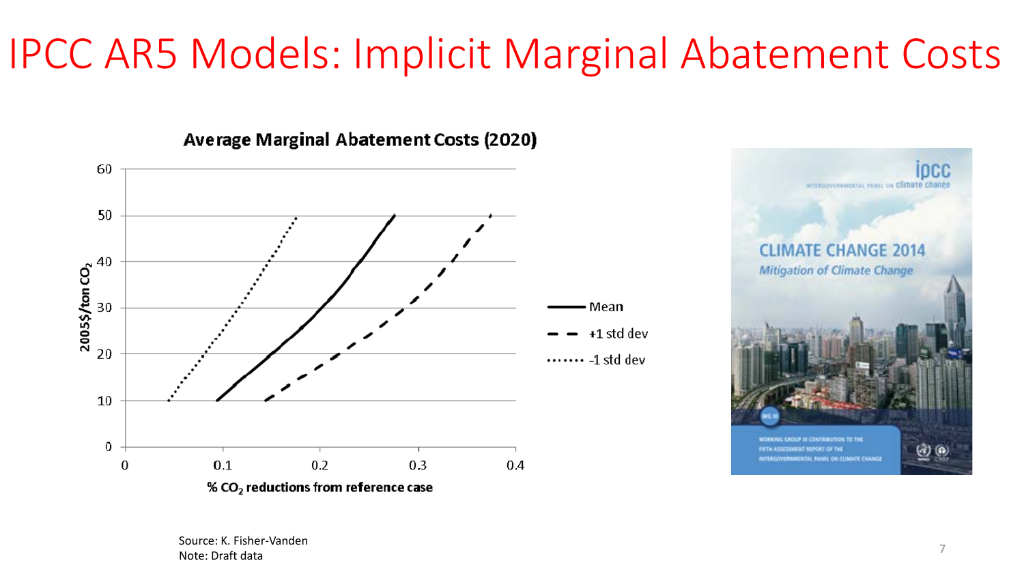### IPCC AR5 Models: Implicit Marginal Abatement Costs

![](_page_6_Figure_1.jpeg)

**Average Marginal Abatement Costs (2020)** 

![](_page_6_Picture_3.jpeg)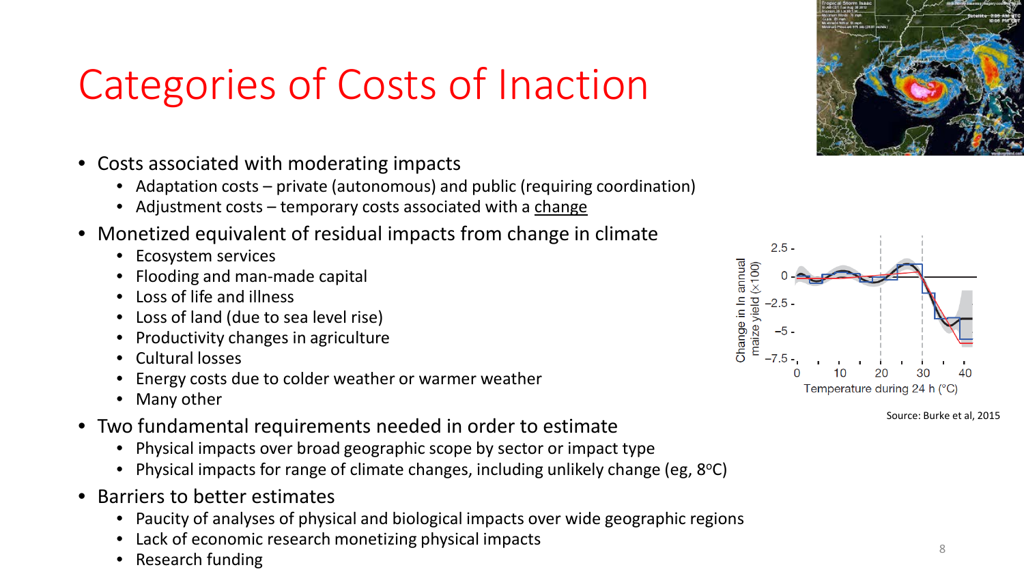## Categories of Costs of Inaction

- Costs associated with moderating impacts
	- Adaptation costs private (autonomous) and public (requiring coordination)
	- Adjustment costs temporary costs associated with a change
- Monetized equivalent of residual impacts from change in climate
	- Ecosystem services
	- Flooding and man-made capital
	- Loss of life and illness
	- Loss of land (due to sea level rise)
	- Productivity changes in agriculture
	- Cultural losses
	- Energy costs due to colder weather or warmer weather
	- Many other
- Two fundamental requirements needed in order to estimate
	- Physical impacts over broad geographic scope by sector or impact type
	- Physical impacts for range of climate changes, including unlikely change (eg, 8°C)
- Barriers to better estimates
	- Paucity of analyses of physical and biological impacts over wide geographic regions
	- Lack of economic research monetizing physical impacts
	- $\bullet$  Research funding  $\frac{8}{3}$

![](_page_7_Figure_20.jpeg)

![](_page_7_Figure_21.jpeg)

Source: Burke et al, 2015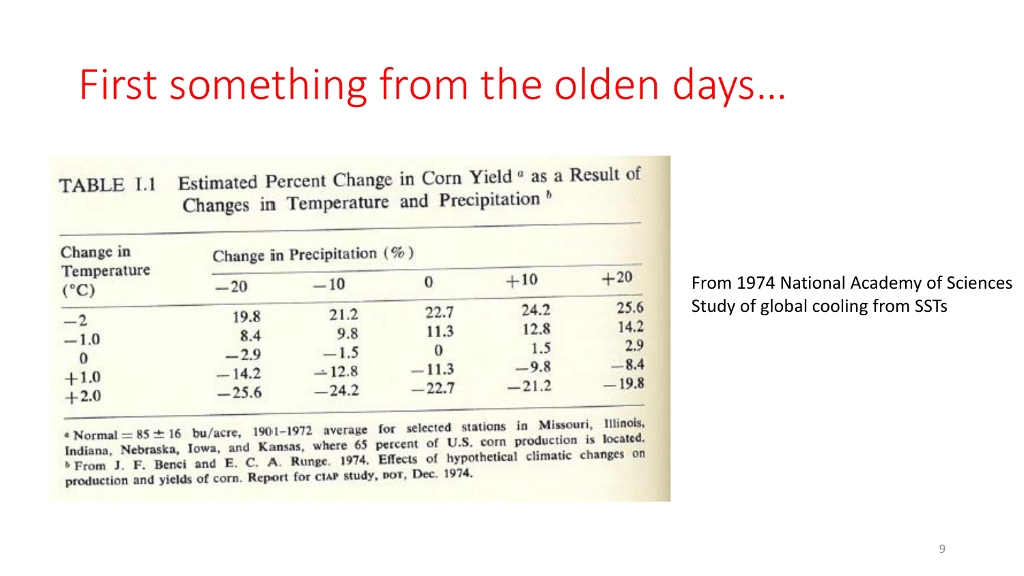### First something from the olden days…

| TABLE I.1 Estimated Percent Change in Corn Yield as a Result of |
|-----------------------------------------------------------------|
| Changes in Temperature and Precipitation <sup>b</sup>           |

| Change in<br>Temperature<br>$(^{\circ}C)$ | Change in Precipitation (%) |         |         |         |         |  |  |
|-------------------------------------------|-----------------------------|---------|---------|---------|---------|--|--|
|                                           | $-20$                       | $-10$   |         | $+10$   | $+20$   |  |  |
| $-2$                                      | 19.8                        | 21.2    | 22.7    | 24.2    | 25.6    |  |  |
|                                           | 8.4                         | 9.8     | 11.3    | 12.8    | 14.2    |  |  |
| $-1.0$<br>$\Omega$                        | $-2.9$                      | $-1.5$  | 0       | 1.5     | 2.9     |  |  |
| $+1.0$                                    | $-14.2$                     | $-12.8$ | $-11.3$ | $-9.8$  | $-8.4$  |  |  |
| $+2.0$                                    | $-25.6$                     | $-24.2$ | $-22.7$ | $-21.2$ | $-19.8$ |  |  |

From 1974 National Academy of Sciences Study of global cooling from SSTs

• Normal =  $85 \pm 16$  bu/acre, 1901-1972 average for selected stations in Missouri, Illinois,  $\frac{1}{2}$  Normal = 85 ± 16 bu/acre, 1901-1972 average for series of U.S. corn production is located.<br>Indiana, Nebraska, Iowa, and Kansas, where 65 percent of U.S. corn production is located. Indiana, Nebraska, Iowa, and Kansas, where 65 percent of State and climatic changes on<br>b From J. F. Benci and E. C. A. Runge, 1974. Effects of hypothetical climatic changes on production and yields of corn. Report for CIAP study, por, Dec. 1974.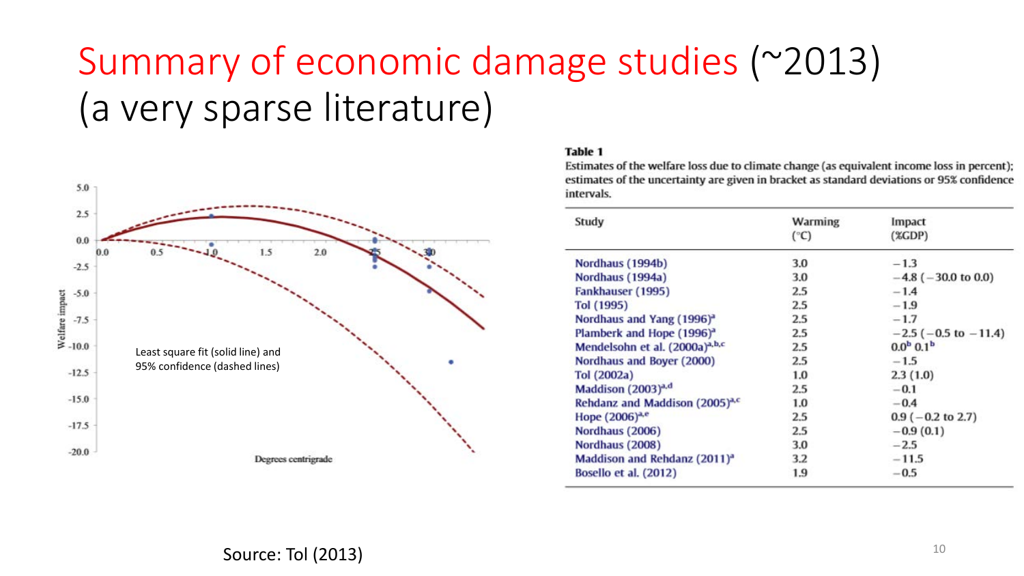### Summary of economic damage studies (~2013) (a very sparse literature)

![](_page_9_Figure_1.jpeg)

#### **Table 1**

Estimates of the welfare loss due to climate change (as equivalent income loss in percent); estimates of the uncertainty are given in bracket as standard deviations or 95% confidence intervals.

| Study                                      | <b>Warming</b><br>$(^\circ C)$ | Impact<br>(XGDP)             |
|--------------------------------------------|--------------------------------|------------------------------|
| Nordhaus (1994b)                           | 3.0                            | $-1.3$                       |
| Nordhaus (1994a)                           | 3.0                            | $-4.8$ ( $-30.0$ to 0.0)     |
| Fankhauser (1995)                          | 2.5                            | $-1.4$                       |
| Tol (1995)                                 | 2.5                            | $-1.9$                       |
| Nordhaus and Yang (1996) <sup>a</sup>      | 2.5                            | $-1.7$                       |
| Plamberk and Hope (1996) <sup>a</sup>      | 2.5                            | $-2.5$ ( $-0.5$ to $-11.4$ ) |
| Mendelsohn et al. (2000a) <sup>a,b,c</sup> | 2.5                            | $0.0b$ 0.1 <sup>b</sup>      |
| Nordhaus and Boyer (2000)                  | 2.5                            | $-1.5$                       |
| Tol (2002a)                                | 1.0                            | 2.3(1.0)                     |
| Maddison (2003) <sup>a,d</sup>             | 2.5                            | $-0.1$                       |
| Rehdanz and Maddison (2005) <sup>a,c</sup> | 1.0                            | $-0.4$                       |
| Hope $(2006)^{a,e}$                        | 2.5                            | $0.9$ ( $-0.2$ to 2.7)       |
| Nordhaus (2006)                            | 2.5                            | $-0.9(0.1)$                  |
| Nordhaus (2008)                            | 3.0                            | $-2.5$                       |
| Maddison and Rehdanz (2011) <sup>a</sup>   | 3.2                            | $-11.5$                      |
| Bosello et al. (2012)                      | 1.9                            | $-0.5$                       |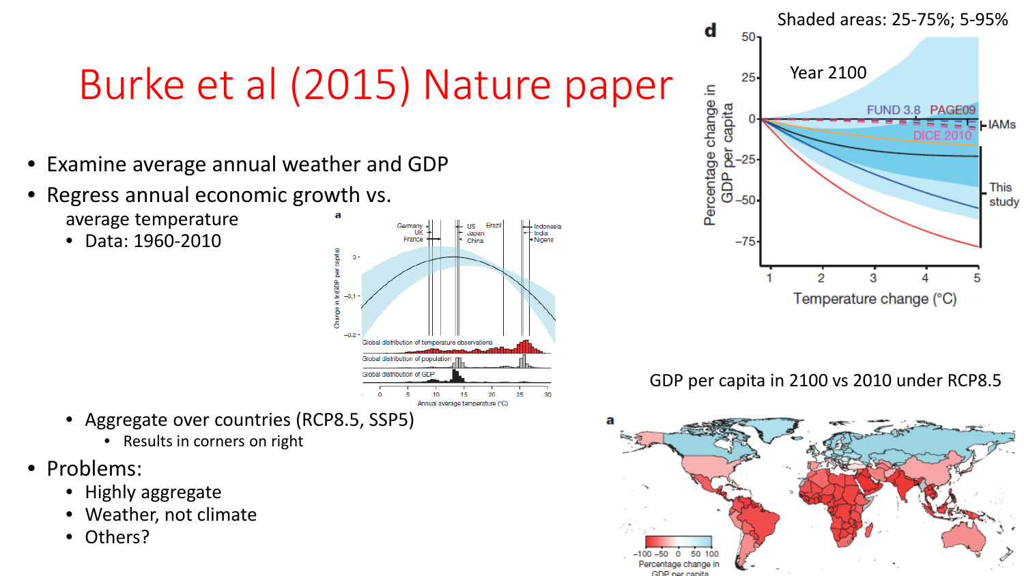## Burke et al (2015) Nature paper

- Examine average annual weather and GDP
- Regress annual economic growth vs. average temperature
	- Data: 1960-2010

![](_page_10_Figure_4.jpeg)

- Aggregate over countries (RCP8.5, SSP5)
	- Results in corners on right
- Problems:
	- Highly aggregate
	- Weather, not climate
	- Others?

![](_page_10_Figure_11.jpeg)

GDP per capita in 2100 vs 2010 under RCP8.5

![](_page_10_Figure_13.jpeg)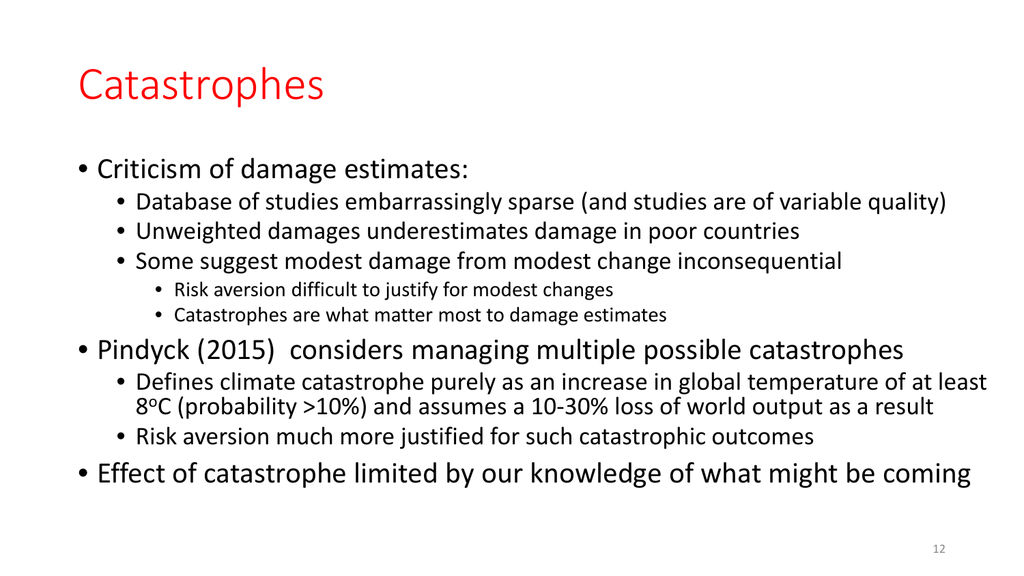### **Catastrophes**

- Criticism of damage estimates:
	- Database of studies embarrassingly sparse (and studies are of variable quality)
	- Unweighted damages underestimates damage in poor countries
	- Some suggest modest damage from modest change inconsequential
		- Risk aversion difficult to justify for modest changes
		- Catastrophes are what matter most to damage estimates
- Pindyck (2015) considers managing multiple possible catastrophes
	- Defines climate catastrophe purely as an increase in global temperature of at least 8°C (probability >10%) and assumes a 10-30% loss of world output as a result
	- Risk aversion much more justified for such catastrophic outcomes
- Effect of catastrophe limited by our knowledge of what might be coming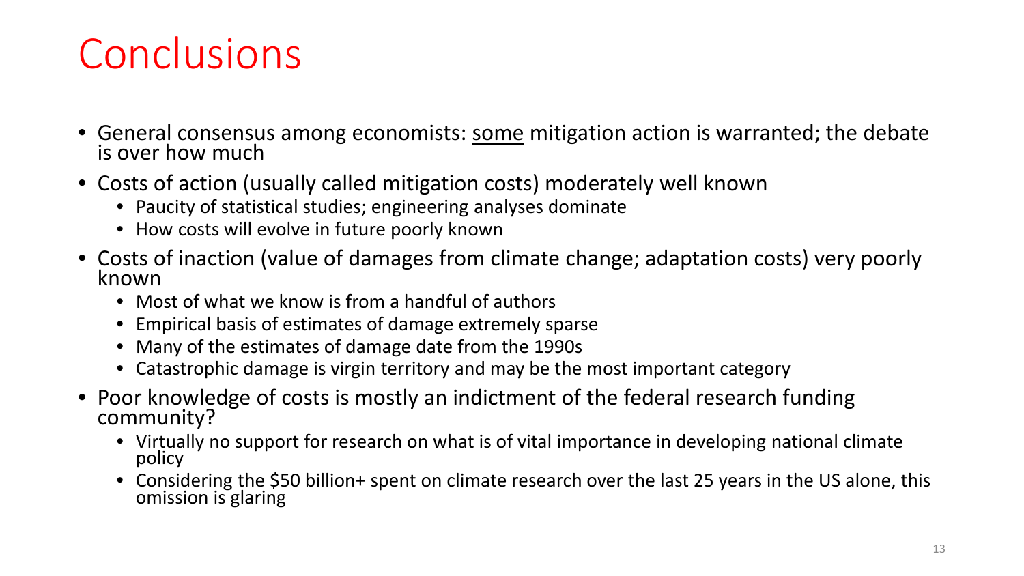### Conclusions

- General consensus among economists: some mitigation action is warranted; the debate is over how much
- Costs of action (usually called mitigation costs) moderately well known
	- Paucity of statistical studies; engineering analyses dominate
	- How costs will evolve in future poorly known
- Costs of inaction (value of damages from climate change; adaptation costs) very poorly known
	- Most of what we know is from a handful of authors
	- Empirical basis of estimates of damage extremely sparse
	- Many of the estimates of damage date from the 1990s
	- Catastrophic damage is virgin territory and may be the most important category
- Poor knowledge of costs is mostly an indictment of the federal research funding community?
	- Virtually no support for research on what is of vital importance in developing national climate policy
	- Considering the \$50 billion+ spent on climate research over the last 25 years in the US alone, this omission is glaring